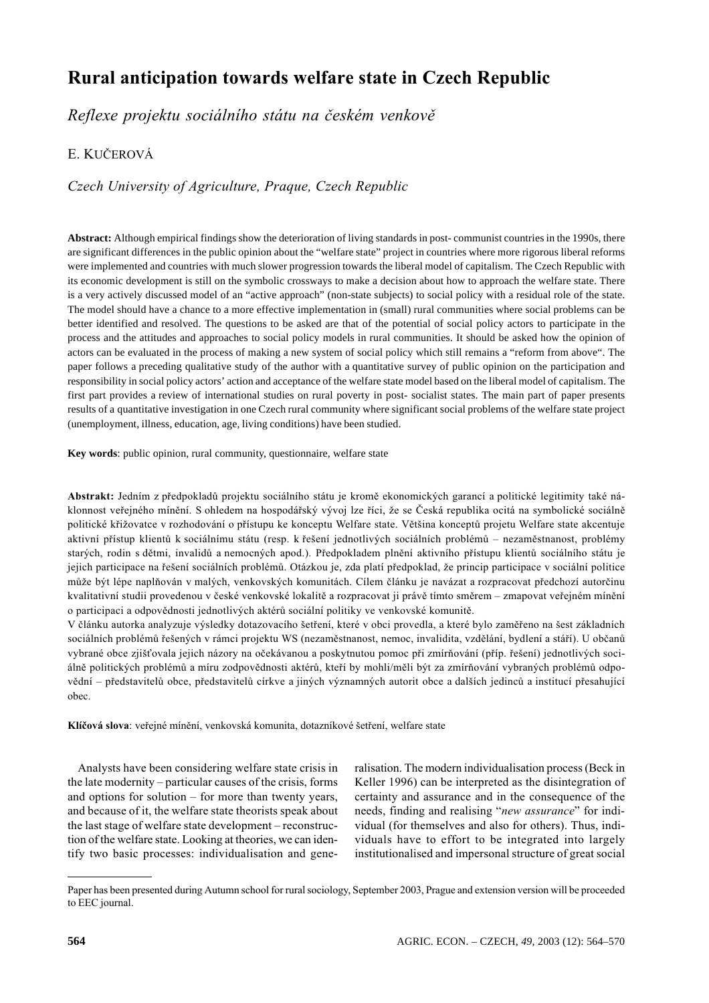# Rural anticipation towards welfare state in Czech Republic

Reflexe projektu sociálního státu na českém venkově

E. KUČEROVÁ

Czech University of Agriculture, Praque, Czech Republic

**Abstract:** Although empirical findings show the deterioration of living standards in post- communist countries in the 1990s, there are significant differences in the public opinion about the "welfare state" project in countries where more rigorous liberal reforms were implemented and countries with much slower progression towards the liberal model of capitalism. The Czech Republic with its economic development is still on the symbolic crossways to make a decision about how to approach the welfare state. There is a very actively discussed model of an "active approach" (non-state subjects) to social policy with a residual role of the state. The model should have a chance to a more effective implementation in (small) rural communities where social problems can be better identified and resolved. The questions to be asked are that of the potential of social policy actors to participate in the process and the attitudes and approaches to social policy models in rural communities. It should be asked how the opinion of actors can be evaluated in the process of making a new system of social policy which still remains a "reform from above". The paper follows a preceding qualitative study of the author with a quantitative survey of public opinion on the participation and responsibility in social policy actors' action and acceptance of the welfare state model based on the liberal model of capitalism. The first part provides a review of international studies on rural poverty in post- socialist states. The main part of paper presents results of a quantitative investigation in one Czech rural community where significant social problems of the welfare state project (unemployment, illness, education, age, living conditions) have been studied.

**Key words**: public opinion, rural community, questionnaire, welfare state

Abstrakt: Jedním z předpokladů projektu sociálního státu je kromě ekonomických garancí a politické legitimity také náklonnost veřejného mínění. S ohledem na hospodářský vývoj lze říci, že se Česká republika ocitá na symbolické sociálně politické křižovatce v rozhodování o přístupu ke konceptu Welfare state. Většina konceptů projetu Welfare state akcentuje aktivní přístup klientů k sociálnímu státu (resp. k řešení jednotlivých sociálních problémů – nezaměstnanost, problémy starých, rodin s dětmi, invalidů a nemocných apod.). Předpokladem plnění aktivního přístupu klientů sociálního státu je jejich participace na řešení sociálních problémů. Otázkou je, zda platí předpoklad, že princip participace v sociální politice může být lépe naplňován v malých, venkovských komunitách. Cílem článku je navázat a rozpracovat předchozí autorčinu kvalitativní studii provedenou v české venkovské lokalitě a rozpracovat ji právě tímto směrem – zmapovat veřejném mínění o participaci a odpovědnosti jednotlivých aktérů sociální politiky ve venkovské komunitě.

V článku autorka analyzuje výsledky dotazovacího šetření, které v obci provedla, a které bylo zaměřeno na šest základních sociálních problémů řešených v rámci projektu WS (nezaměstnanost, nemoc, invalidita, vzdělání, bydlení a stáří). U občanů vybrané obce zjišťovala jejich názory na očekávanou a poskytnutou pomoc při zmírňování (příp. řešení) jednotlivých sociálně politických problémů a míru zodpovědnosti aktérů, kteří by mohli/měli být za zmírňování vybraných problémů odpovědní – představitelů obce, představitelů církve a jiných významných autorit obce a dalších jedinců a institucí přesahující obec.

Klíčová slova: veřejné mínění, venkovská komunita, dotazníkové šetření, welfare state

Analysts have been considering welfare state crisis in the late modernity – particular causes of the crisis, forms and options for solution - for more than twenty years, and because of it, the welfare state theorists speak about the last stage of welfare state development - reconstruction of the welfare state. Looking at theories, we can identify two basic processes: individualisation and generalisation. The modern individualisation process (Beck in Keller 1996) can be interpreted as the disintegration of certainty and assurance and in the consequence of the needs, finding and realising "new assurance" for individual (for themselves and also for others). Thus, individuals have to effort to be integrated into largely institutionalised and impersonal structure of great social

Paper has been presented during Autumn school for rural sociology, September 2003, Prague and extension version will be proceeded to EEC journal.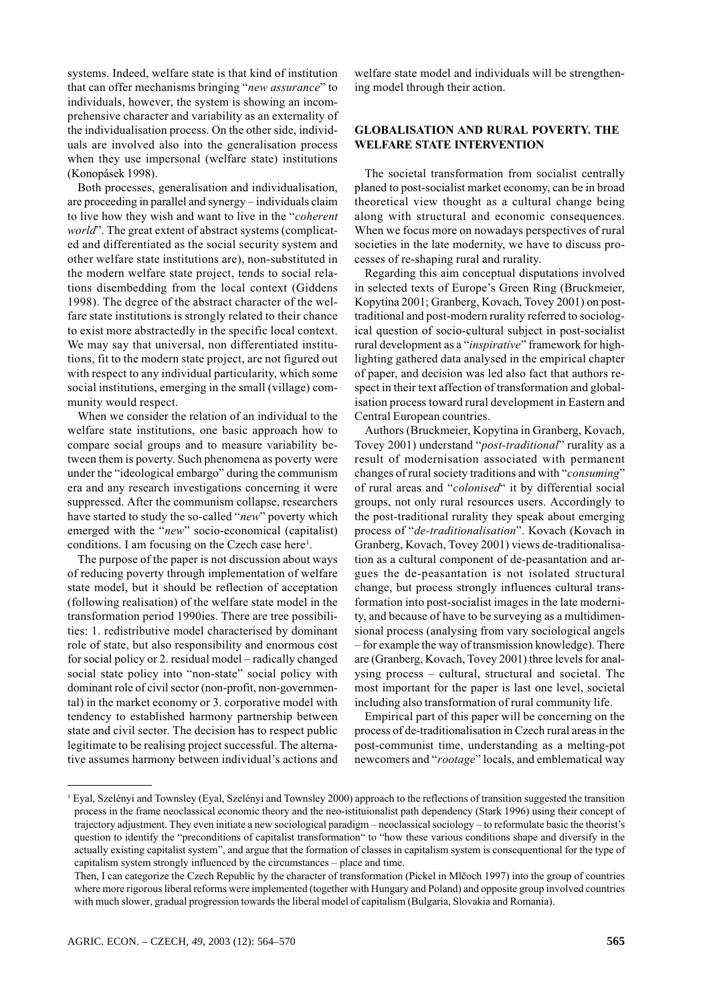systems. Indeed, welfare state is that kind of institution that can offer mechanisms bringing "new assurance" to individuals, however, the system is showing an incomprehensive character and variability as an externality of the individualisation process. On the other side, individuals are involved also into the generalisation process when they use impersonal (welfare state) institutions (Konopásek 1998).

Both processes, generalisation and individualisation, are proceeding in parallel and synergy – individuals claim to live how they wish and want to live in the "coherent" *world*". The great extent of abstract systems (complicated and differentiated as the social security system and other welfare state institutions are), non-substituted in the modern welfare state project, tends to social relations disembedding from the local context (Giddens 1998). The degree of the abstract character of the welfare state institutions is strongly related to their chance to exist more abstractedly in the specific local context. We may say that universal, non differentiated institutions, fit to the modern state project, are not figured out with respect to any individual particularity, which some social institutions, emerging in the small (village) community would respect.

When we consider the relation of an individual to the welfare state institutions, one basic approach how to compare social groups and to measure variability between them is poverty. Such phenomena as poverty were under the "ideological embargo" during the communism era and any research investigations concerning it were suppressed. After the communism collapse, researchers have started to study the so-called "new" poverty which emerged with the "*new*" socio-economical (capitalist) conditions. I am focusing on the Czech case here<sup>1</sup>.

The purpose of the paper is not discussion about ways of reducing poverty through implementation of welfare state model, but it should be reflection of acceptation (following realisation) of the welfare state model in the transformation period 1990ies. There are tree possibilities: 1. redistributive model characterised by dominant role of state, but also responsibility and enormous cost for social policy or 2. residual model - radically changed social state policy into "non-state" social policy with dominant role of civil sector (non-profit, non-governmental) in the market economy or 3. corporative model with tendency to established harmony partnership between state and civil sector. The decision has to respect public legitimate to be realising project successful. The alternative assumes harmony between individual's actions and welfare state model and individuals will be strengthening model through their action.

## **GLOBALISATION AND RURAL POVERTY. THE WELFARE STATE INTERVENTION**

The societal transformation from socialist centrally planed to post-socialist market economy, can be in broad theoretical view thought as a cultural change being along with structural and economic consequences. When we focus more on nowadays perspectives of rural societies in the late modernity, we have to discuss processes of re-shaping rural and rurality.

Regarding this aim conceptual disputations involved in selected texts of Europe's Green Ring (Bruckmeier, Kopytina 2001; Granberg, Kovach, Tovey 2001) on posttraditional and post-modern rurality referred to sociological question of socio-cultural subject in post-socialist rural development as a "inspirative" framework for highlighting gathered data analysed in the empirical chapter of paper, and decision was led also fact that authors respect in their text affection of transformation and globalisation process toward rural development in Eastern and Central European countries.

Authors (Bruckmeier, Kopytina in Granberg, Kovach, Tovey 2001) understand "post-traditional" rurality as a result of modernisation associated with permanent changes of rural society traditions and with "consuming" of rural areas and "colonised" it by differential social groups, not only rural resources users. Accordingly to the post-traditional rurality they speak about emerging process of "de-traditionalisation". Kovach (Kovach in Granberg, Kovach, Tovey 2001) views de-traditionalisation as a cultural component of de-peasantation and argues the de-peasantation is not isolated structural change, but process strongly influences cultural transformation into post-socialist images in the late modernity, and because of have to be surveying as a multidimensional process (analysing from vary sociological angels - for example the way of transmission knowledge). There are (Granberg, Kovach, Tovey 2001) three levels for analysing process – cultural, structural and societal. The most important for the paper is last one level, societal including also transformation of rural community life.

Empirical part of this paper will be concerning on the process of de-traditionalisation in Czech rural areas in the post-communist time, understanding as a melting-pot newcomers and "rootage" locals, and emblematical way

<sup>&</sup>lt;sup>1</sup> Eyal, Szelényi and Townsley (Eyal, Szelényi and Townsley 2000) approach to the reflections of transition suggested the transition process in the frame neoclassical economic theory and the neo-istituionalist path dependency (Stark 1996) using their concept of trajectory adjustment. They even initiate a new sociological paradigm – neoclassical sociology – to reformulate basic the theorist's question to identify the "preconditions of capitalist transformation" to "how these various conditions shape and diversify in the actually existing capitalist system", and argue that the formation of classes in capitalism system is consequentional for the type of capitalism system strongly influenced by the circumstances - place and time.

Then, I can categorize the Czech Republic by the character of transformation (Pickel in Mlčoch 1997) into the group of countries where more rigorous liberal reforms were implemented (together with Hungary and Poland) and opposite group involved countries with much slower, gradual progression towards the liberal model of capitalism (Bulgaria, Slovakia and Romania).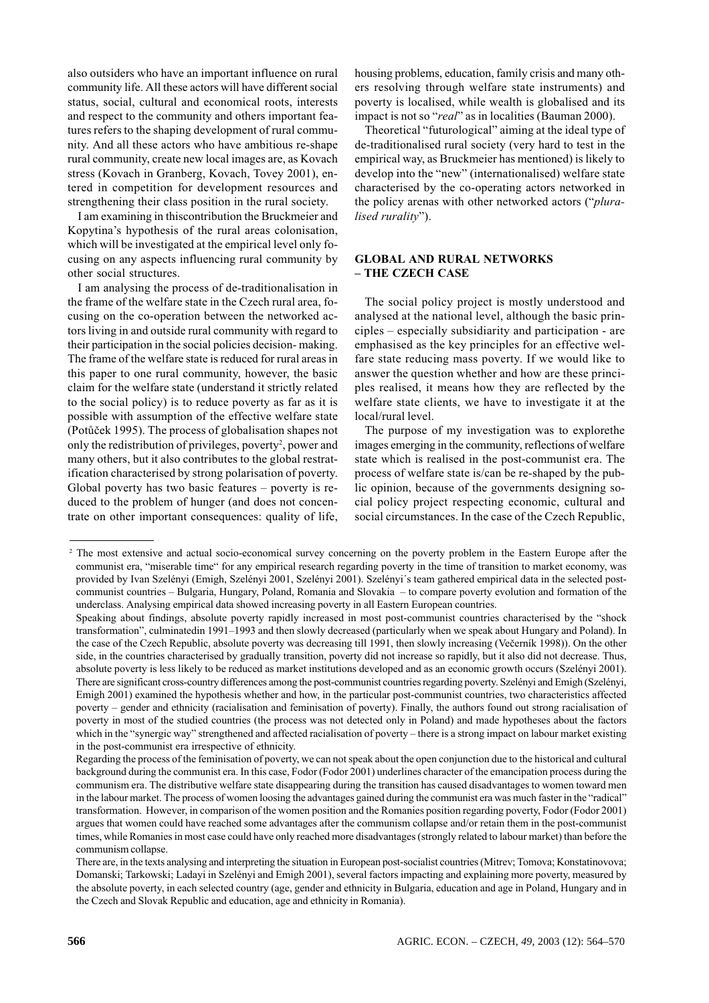also outsiders who have an important influence on rural community life. All these actors will have different social status, social, cultural and economical roots, interests and respect to the community and others important features refers to the shaping development of rural community. And all these actors who have ambitious re-shape rural community, create new local images are, as Kovach stress (Kovach in Granberg, Kovach, Tovey 2001), entered in competition for development resources and strengthening their class position in the rural society.

I am examining in this contribution the Bruckmeier and Kopytina's hypothesis of the rural areas colonisation, which will be investigated at the empirical level only focusing on any aspects influencing rural community by other social structures.

I am analysing the process of de-traditionalisation in the frame of the welfare state in the Czech rural area, focusing on the co-operation between the networked actors living in and outside rural community with regard to their participation in the social policies decision-making. The frame of the welfare state is reduced for rural areas in this paper to one rural community, however, the basic claim for the welfare state (understand it strictly related to the social policy) is to reduce poverty as far as it is possible with assumption of the effective welfare state (Potůček 1995). The process of globalisation shapes not only the redistribution of privileges, poverty<sup>2</sup>, power and many others, but it also contributes to the global restratification characterised by strong polarisation of poverty. Global poverty has two basic features  $-$  poverty is reduced to the problem of hunger (and does not concentrate on other important consequences: quality of life, housing problems, education, family crisis and many others resolving through welfare state instruments) and poverty is localised, while wealth is globalised and its impact is not so "*real*" as in localities (Bauman 2000).

Theoretical "futurological" aiming at the ideal type of de-traditionalised rural society (very hard to test in the empirical way, as Bruckmeier has mentioned) is likely to develop into the "new" (internationalised) welfare state characterised by the co-operating actors networked in the policy arenas with other networked actors ("pluralised rurality").

# **GLOBAL AND RURAL NETWORKS** - THE CZECH CASE

The social policy project is mostly understood and analysed at the national level, although the basic principles – especially subsidiarity and participation - are emphasised as the key principles for an effective welfare state reducing mass poverty. If we would like to answer the question whether and how are these principles realised, it means how they are reflected by the welfare state clients, we have to investigate it at the local/rural level.

The purpose of my investigation was to explore the images emerging in the community, reflections of welfare state which is realised in the post-communist era. The process of welfare state is/can be re-shaped by the public opinion, because of the governments designing social policy project respecting economic, cultural and social circumstances. In the case of the Czech Republic,

<sup>&</sup>lt;sup>2</sup> The most extensive and actual socio-economical survey concerning on the poverty problem in the Eastern Europe after the communist era, "miserable time" for any empirical research regarding poverty in the time of transition to market economy, was provided by Ivan Szelényi (Emigh, Szelényi 2001, Szelényi 2001). Szelényi's team gathered empirical data in the selected postcommunist countries - Bulgaria, Hungary, Poland, Romania and Slovakia - to compare poverty evolution and formation of the underclass. Analysing empirical data showed increasing poverty in all Eastern European countries.

Speaking about findings, absolute poverty rapidly increased in most post-communist countries characterised by the "shock transformation", culminatedin 1991–1993 and then slowly decreased (particularly when we speak about Hungary and Poland). In the case of the Czech Republic, absolute poverty was decreasing till 1991, then slowly increasing (Večerník 1998)). On the other side, in the countries characterised by gradually transition, poverty did not increase so rapidly, but it also did not decrease. Thus, absolute poverty is less likely to be reduced as market institutions developed and as an economic growth occurs (Szelényi 2001). There are significant cross-country differences among the post-communist countries regarding poverty. Szelényi and Emigh (Szelényi, Emigh 2001) examined the hypothesis whether and how, in the particular post-communist countries, two characteristics affected poverty – gender and ethnicity (racialisation and feminisation of poverty). Finally, the authors found out strong racialisation of poverty in most of the studied countries (the process was not detected only in Poland) and made hypotheses about the factors which in the "synergic way" strengthened and affected racialisation of poverty – there is a strong impact on labour market existing in the post-communist era irrespective of ethnicity.

Regarding the process of the feminisation of poverty, we can not speak about the open conjunction due to the historical and cultural background during the communist era. In this case, Fodor (Fodor 2001) underlines character of the emancipation process during the communism era. The distributive welfare state disappearing during the transition has caused disadvantages to women toward men in the labour market. The process of women loosing the advantages gained during the communist era was much faster in the "radical" transformation. However, in comparison of the women position and the Romanies position regarding poverty, Fodor (Fodor 2001) argues that women could have reached some advantages after the communism collapse and/or retain them in the post-communist times, while Romanies in most case could have only reached more disadvantages (strongly related to labour market) than before the communism collapse.

There are, in the texts analysing and interpreting the situation in European post-socialist countries (Mitrev; Tomova; Konstatinovova; Domanski; Tarkowski; Ladayi in Szelényi and Emigh 2001), several factors impacting and explaining more poverty, measured by the absolute poverty, in each selected country (age, gender and ethnicity in Bulgaria, education and age in Poland, Hungary and in the Czech and Slovak Republic and education, age and ethnicity in Romania).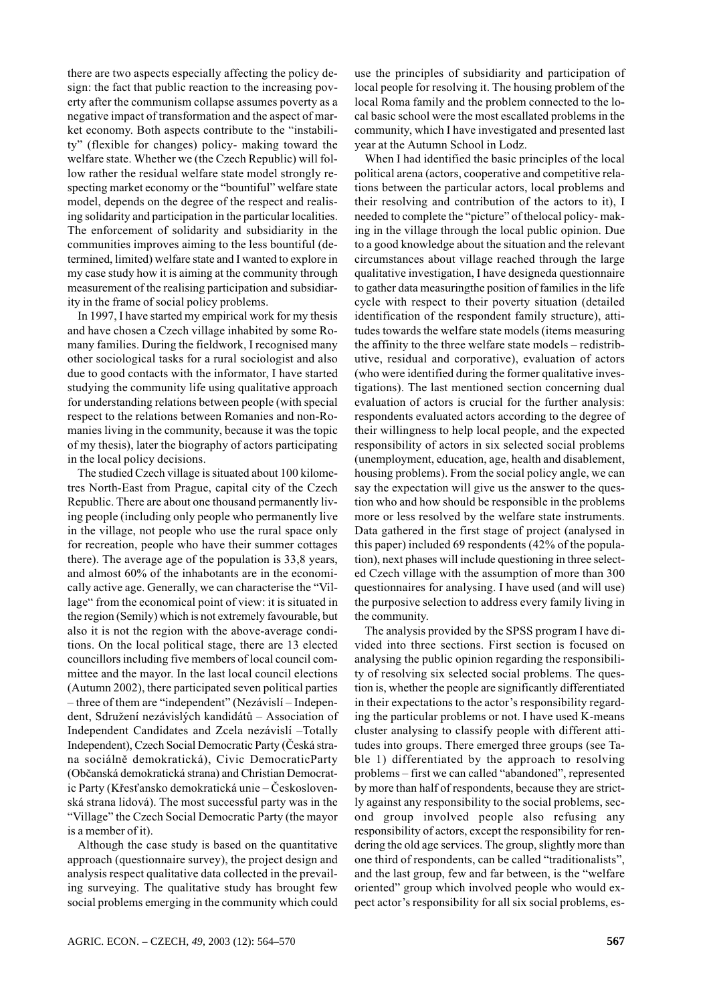there are two aspects especially affecting the policy design: the fact that public reaction to the increasing poverty after the communism collapse assumes poverty as a negative impact of transformation and the aspect of market economy. Both aspects contribute to the "instability" (flexible for changes) policy- making toward the welfare state. Whether we (the Czech Republic) will follow rather the residual welfare state model strongly respecting market economy or the "bountiful" welfare state model, depends on the degree of the respect and realising solidarity and participation in the particular localities. The enforcement of solidarity and subsidiarity in the communities improves aiming to the less bountiful (determined, limited) welfare state and I wanted to explore in my case study how it is aiming at the community through measurement of the realising participation and subsidiarity in the frame of social policy problems.

In 1997, I have started my empirical work for my thesis and have chosen a Czech village inhabited by some Romany families. During the fieldwork, I recognised many other sociological tasks for a rural sociologist and also due to good contacts with the informator. I have started studying the community life using qualitative approach for understanding relations between people (with special respect to the relations between Romanies and non-Romanies living in the community, because it was the topic of my thesis), later the biography of actors participating in the local policy decisions.

The studied Czech village is situated about 100 kilometres North-East from Prague, capital city of the Czech Republic. There are about one thousand permanently living people (including only people who permanently live in the village, not people who use the rural space only for recreation, people who have their summer cottages there). The average age of the population is 33,8 years, and almost 60% of the inhabotants are in the economically active age. Generally, we can characterise the "Village" from the economical point of view: it is situated in the region (Semily) which is not extremely favourable, but also it is not the region with the above-average conditions. On the local political stage, there are 13 elected councillors including five members of local council committee and the mayor. In the last local council elections (Autumn 2002), there participated seven political parties - three of them are "independent" (Nezávislí - Independent, Sdružení nezávislých kandidátů – Association of Independent Candidates and Zcela nezávislí – Totally Independent), Czech Social Democratic Party (Česká strana sociálně demokratická), Civic DemocraticParty (Občanská demokratická strana) and Christian Democratic Party (Křesťansko demokratická unie – Československá strana lidová). The most successful party was in the "Village" the Czech Social Democratic Party (the mayor is a member of it).

Although the case study is based on the quantitative approach (questionnaire survey), the project design and analysis respect qualitative data collected in the prevailing surveying. The qualitative study has brought few social problems emerging in the community which could use the principles of subsidiarity and participation of local people for resolving it. The housing problem of the local Roma family and the problem connected to the local basic school were the most escallated problems in the community, which I have investigated and presented last year at the Autumn School in Lodz.

When I had identified the basic principles of the local political arena (actors, cooperative and competitive relations between the particular actors, local problems and their resolving and contribution of the actors to it), I needed to complete the "picture" of the local policy-making in the village through the local public opinion. Due to a good knowledge about the situation and the relevant circumstances about village reached through the large qualitative investigation, I have designeda questionnaire to gather data measuring the position of families in the life cycle with respect to their poverty situation (detailed identification of the respondent family structure), attitudes towards the welfare state models (items measuring the affinity to the three welfare state models – redistributive, residual and corporative), evaluation of actors (who were identified during the former qualitative investigations). The last mentioned section concerning dual evaluation of actors is crucial for the further analysis: respondents evaluated actors according to the degree of their willingness to help local people, and the expected responsibility of actors in six selected social problems (unemployment, education, age, health and disablement, housing problems). From the social policy angle, we can say the expectation will give us the answer to the question who and how should be responsible in the problems more or less resolved by the welfare state instruments. Data gathered in the first stage of project (analysed in this paper) included 69 respondents (42% of the population), next phases will include questioning in three selected Czech village with the assumption of more than 300 questionnaires for analysing. I have used (and will use) the purposive selection to address every family living in the community.

The analysis provided by the SPSS program I have divided into three sections. First section is focused on analysing the public opinion regarding the responsibility of resolving six selected social problems. The question is, whether the people are significantly differentiated in their expectations to the actor's responsibility regarding the particular problems or not. I have used K-means cluster analysing to classify people with different attitudes into groups. There emerged three groups (see Table 1) differentiated by the approach to resolving problems - first we can called "abandoned", represented by more than half of respondents, because they are strictly against any responsibility to the social problems, second group involved people also refusing any responsibility of actors, except the responsibility for rendering the old age services. The group, slightly more than one third of respondents, can be called "traditionalists", and the last group, few and far between, is the "welfare" oriented" group which involved people who would expect actor's responsibility for all six social problems, es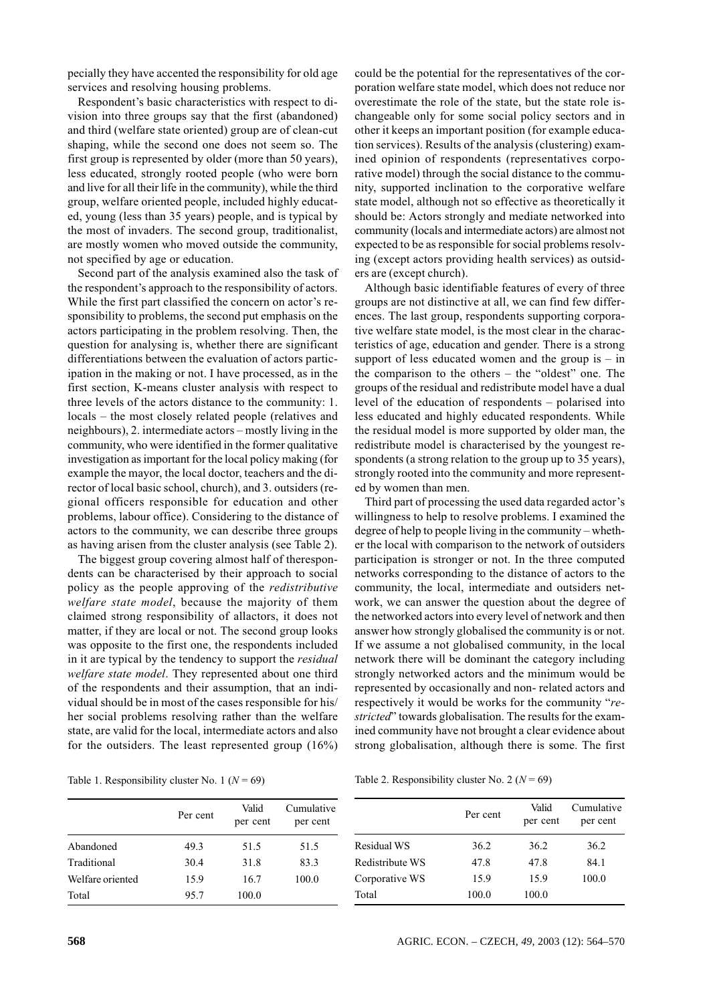pecially they have accented the responsibility for old age services and resolving housing problems.

Respondent's basic characteristics with respect to division into three groups say that the first (abandoned) and third (welfare state oriented) group are of clean-cut shaping, while the second one does not seem so. The first group is represented by older (more than 50 years), less educated, strongly rooted people (who were born and live for all their life in the community), while the third group, welfare oriented people, included highly educated, young (less than 35 years) people, and is typical by the most of invaders. The second group, traditionalist, are mostly women who moved outside the community. not specified by age or education.

Second part of the analysis examined also the task of the respondent's approach to the responsibility of actors. While the first part classified the concern on actor's responsibility to problems, the second put emphasis on the actors participating in the problem resolving. Then, the question for analysing is, whether there are significant differentiations between the evaluation of actors participation in the making or not. I have processed, as in the first section. K-means cluster analysis with respect to three levels of the actors distance to the community: 1. locals – the most closely related people (relatives and neighbours), 2. intermediate actors – mostly living in the community, who were identified in the former qualitative investigation as important for the local policy making (for example the mayor, the local doctor, teachers and the director of local basic school, church), and 3. outsiders (regional officers responsible for education and other problems, labour office). Considering to the distance of actors to the community, we can describe three groups as having arisen from the cluster analysis (see Table 2).

The biggest group covering almost half of therespondents can be characterised by their approach to social policy as the people approving of the *redistributive* welfare state model, because the majority of them claimed strong responsibility of allactors, it does not matter, if they are local or not. The second group looks was opposite to the first one, the respondents included in it are typical by the tendency to support the *residual* welfare state model. They represented about one third of the respondents and their assumption, that an individual should be in most of the cases responsible for his/ her social problems resolving rather than the welfare state, are valid for the local, intermediate actors and also for the outsiders. The least represented group  $(16\%)$  could be the potential for the representatives of the corporation welfare state model, which does not reduce nor overestimate the role of the state, but the state role ischangeable only for some social policy sectors and in other it keeps an important position (for example education services). Results of the analysis (clustering) examined opinion of respondents (representatives corporative model) through the social distance to the community, supported inclination to the corporative welfare state model, although not so effective as theoretically it should be: Actors strongly and mediate networked into community (locals and intermediate actors) are almost not expected to be as responsible for social problems resolving (except actors providing health services) as outsiders are (except church).

Although basic identifiable features of every of three groups are not distinctive at all, we can find few differences. The last group, respondents supporting corporative welfare state model, is the most clear in the characteristics of age, education and gender. There is a strong support of less educated women and the group is  $-$  in the comparison to the others – the "oldest" one. The groups of the residual and redistribute model have a dual level of the education of respondents – polarised into less educated and highly educated respondents. While the residual model is more supported by older man, the redistribute model is characterised by the youngest respondents (a strong relation to the group up to 35 years), strongly rooted into the community and more represented by women than men.

Third part of processing the used data regarded actor's willingness to help to resolve problems. I examined the degree of help to people living in the community – whether the local with comparison to the network of outsiders participation is stronger or not. In the three computed networks corresponding to the distance of actors to the community, the local, intermediate and outsiders network, we can answer the question about the degree of the networked actors into every level of network and then answer how strongly globalised the community is or not. If we assume a not globalised community, in the local network there will be dominant the category including strongly networked actors and the minimum would be represented by occasionally and non-related actors and respectively it would be works for the community "restricted" towards globalisation. The results for the examined community have not brought a clear evidence about strong globalisation, although there is some. The first

Table 1. Responsibility cluster No. 1 ( $N = 69$ )

Table 2. Responsibility cluster No. 2 ( $N = 69$ )

|                  | Per cent | Valid<br>per cent | Cumulative<br>per cent |
|------------------|----------|-------------------|------------------------|
| Abandoned        | 49.3     | 51.5              | 51.5                   |
| Traditional      | 30.4     | 31.8              | 83.3                   |
| Welfare oriented | 15.9     | 16.7              | 100.0                  |
| Total            | 95.7     | 100.0             |                        |
|                  |          |                   |                        |

|                 |          | Valid<br>per cent | Cumulative<br>per cent |
|-----------------|----------|-------------------|------------------------|
|                 | Per cent |                   |                        |
| Residual WS     | 36.2     | 36.2              | 36.2                   |
| Redistribute WS | 47.8     | 47.8              | 84.1                   |
| Corporative WS  | 15.9     | 15.9              | 100.0                  |
| Total           | 100.0    | 100.0             |                        |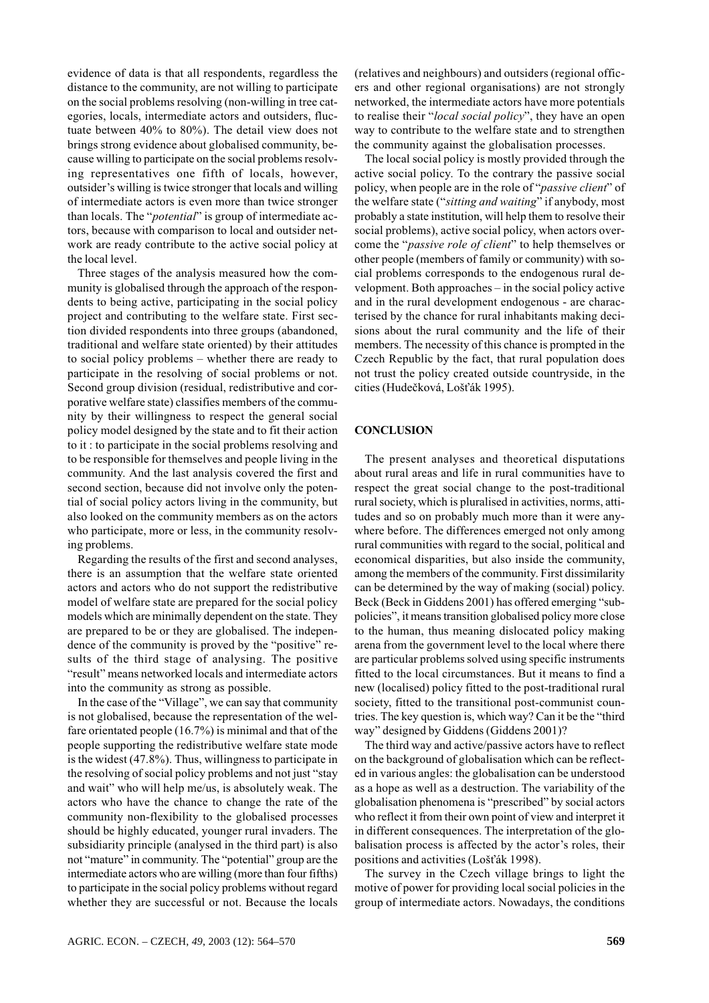evidence of data is that all respondents, regardless the distance to the community, are not willing to participate on the social problems resolving (non-willing in tree categories, locals, intermediate actors and outsiders, fluctuate between 40% to 80%). The detail view does not brings strong evidence about globalised community, because willing to participate on the social problems resolving representatives one fifth of locals, however, outsider's willing is twice stronger that locals and willing of intermediate actors is even more than twice stronger than locals. The "*potential*" is group of intermediate actors, because with comparison to local and outsider network are ready contribute to the active social policy at the local level.

Three stages of the analysis measured how the community is globalised through the approach of the respondents to being active, participating in the social policy project and contributing to the welfare state. First section divided respondents into three groups (abandoned, traditional and welfare state oriented) by their attitudes to social policy problems  $-$  whether there are ready to participate in the resolving of social problems or not. Second group division (residual, redistributive and corporative welfare state) classifies members of the community by their willingness to respect the general social policy model designed by the state and to fit their action to it: to participate in the social problems resolving and to be responsible for themselves and people living in the community. And the last analysis covered the first and second section, because did not involve only the potential of social policy actors living in the community, but also looked on the community members as on the actors who participate, more or less, in the community resolving problems.

Regarding the results of the first and second analyses, there is an assumption that the welfare state oriented actors and actors who do not support the redistributive model of welfare state are prepared for the social policy models which are minimally dependent on the state. They are prepared to be or they are globalised. The independence of the community is proved by the "positive" results of the third stage of analysing. The positive "result" means networked locals and intermediate actors into the community as strong as possible.

In the case of the "Village", we can say that community is not globalised, because the representation of the welfare orientated people  $(16.7%)$  is minimal and that of the people supporting the redistributive welfare state mode is the widest (47.8%). Thus, willingness to participate in the resolving of social policy problems and not just "stay and wait" who will help me/us, is absolutely weak. The actors who have the chance to change the rate of the community non-flexibility to the globalised processes should be highly educated, younger rural invaders. The subsidiarity principle (analysed in the third part) is also not "mature" in community. The "potential" group are the intermediate actors who are willing (more than four fifths) to participate in the social policy problems without regard whether they are successful or not. Because the locals (relatives and neighbours) and outsiders (regional officers and other regional organisations) are not strongly networked, the intermediate actors have more potentials to realise their "*local social policy*", they have an open way to contribute to the welfare state and to strengthen the community against the globalisation processes.

The local social policy is mostly provided through the active social policy. To the contrary the passive social policy, when people are in the role of "passive client" of the welfare state ("sitting and waiting" if anybody, most probably a state institution, will help them to resolve their social problems), active social policy, when actors overcome the "*passive role of client*" to help themselves or other people (members of family or community) with social problems corresponds to the endogenous rural development. Both approaches – in the social policy active and in the rural development endogenous - are characterised by the chance for rural inhabitants making decisions about the rural community and the life of their members. The necessity of this chance is prompted in the Czech Republic by the fact, that rural population does not trust the policy created outside countryside, in the cities (Hudečková, Lošťák 1995).

#### **CONCLUSION**

The present analyses and theoretical disputations about rural areas and life in rural communities have to respect the great social change to the post-traditional rural society, which is pluralised in activities, norms, attitudes and so on probably much more than it were anywhere before. The differences emerged not only among rural communities with regard to the social, political and economical disparities, but also inside the community, among the members of the community. First dissimilarity can be determined by the way of making (social) policy. Beck (Beck in Giddens 2001) has offered emerging "subpolicies", it means transition globalised policy more close to the human, thus meaning dislocated policy making arena from the government level to the local where there are particular problems solved using specific instruments fitted to the local circumstances. But it means to find a new (localised) policy fitted to the post-traditional rural society, fitted to the transitional post-communist countries. The key question is, which way? Can it be the "third way" designed by Giddens (Giddens 2001)?

The third way and active/passive actors have to reflect on the background of globalisation which can be reflected in various angles: the globalisation can be understood as a hope as well as a destruction. The variability of the globalisation phenomena is "prescribed" by social actors who reflect it from their own point of view and interpret it in different consequences. The interpretation of the globalisation process is affected by the actor's roles, their positions and activities (Lošťák 1998).

The survey in the Czech village brings to light the motive of power for providing local social policies in the group of intermediate actors. Nowadays, the conditions